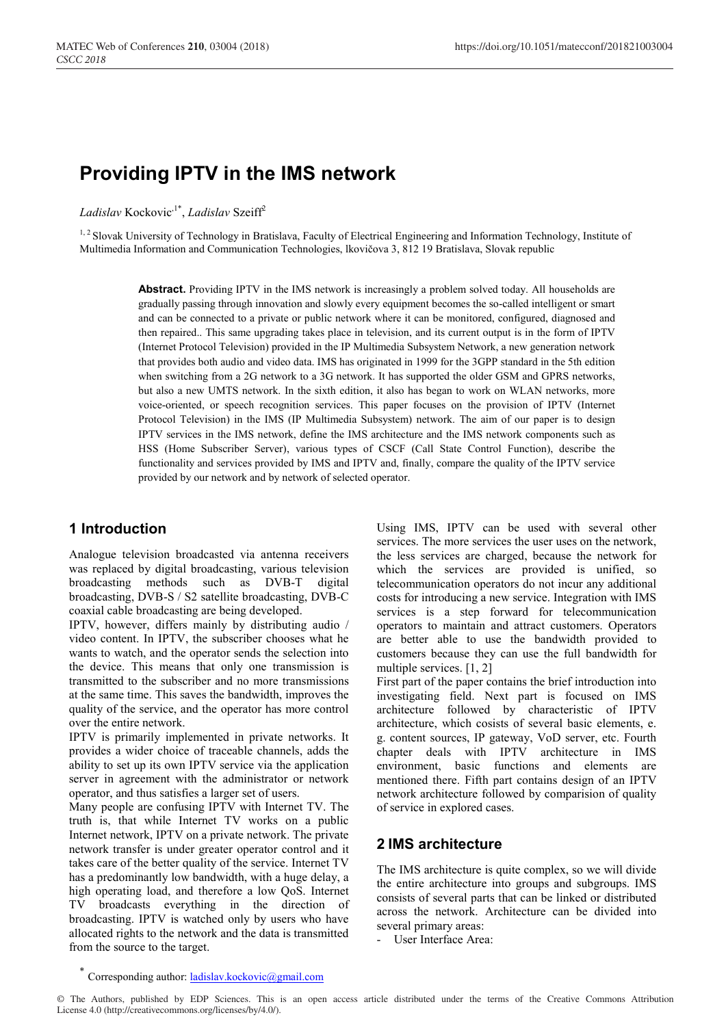# **Providing IPTV in the IMS network**

*Ladislav* Kockovic,1\* , *Ladislav* Szeiff2

<sup>1, 2</sup> Slovak University of Technology in Bratislava, Faculty of Electrical Engineering and Information Technology, Institute of Multimedia Information and Communication Technologies, lkovičova 3, 812 19 Bratislava, Slovak republic

> **Abstract.** Providing IPTV in the IMS network is increasingly a problem solved today. All households are gradually passing through innovation and slowly every equipment becomes the so-called intelligent or smart and can be connected to a private or public network where it can be monitored, configured, diagnosed and then repaired.. This same upgrading takes place in television, and its current output is in the form of IPTV (Internet Protocol Television) provided in the IP Multimedia Subsystem Network, a new generation network that provides both audio and video data. IMS has originated in 1999 for the 3GPP standard in the 5th edition when switching from a 2G network to a 3G network. It has supported the older GSM and GPRS networks, but also a new UMTS network. In the sixth edition, it also has began to work on WLAN networks, more voice-oriented, or speech recognition services. This paper focuses on the provision of IPTV (Internet Protocol Television) in the IMS (IP Multimedia Subsystem) network. The aim of our paper is to design IPTV services in the IMS network, define the IMS architecture and the IMS network components such as HSS (Home Subscriber Server), various types of CSCF (Call State Control Function), describe the functionality and services provided by IMS and IPTV and, finally, compare the quality of the IPTV service provided by our network and by network of selected operator.

# **1 Introduction**

Analogue television broadcasted via antenna receivers was replaced by digital broadcasting, various television broadcasting methods such as DVB-T digital broadcasting, DVB-S / S2 satellite broadcasting, DVB-C coaxial cable broadcasting are being developed.

IPTV, however, differs mainly by distributing audio / video content. In IPTV, the subscriber chooses what he wants to watch, and the operator sends the selection into the device. This means that only one transmission is transmitted to the subscriber and no more transmissions at the same time. This saves the bandwidth, improves the quality of the service, and the operator has more control over the entire network.

IPTV is primarily implemented in private networks. It provides a wider choice of traceable channels, adds the ability to set up its own IPTV service via the application server in agreement with the administrator or network operator, and thus satisfies a larger set of users.

Many people are confusing IPTV with Internet TV. The truth is, that while Internet TV works on a public Internet network, IPTV on a private network. The private network transfer is under greater operator control and it takes care of the better quality of the service. Internet TV has a predominantly low bandwidth, with a huge delay, a high operating load, and therefore a low QoS. Internet TV broadcasts everything in the direction of broadcasting. IPTV is watched only by users who have allocated rights to the network and the data is transmitted from the source to the target.

Using IMS, IPTV can be used with several other services. The more services the user uses on the network, the less services are charged, because the network for which the services are provided is unified, so telecommunication operators do not incur any additional costs for introducing a new service. Integration with IMS services is a step forward for telecommunication operators to maintain and attract customers. Operators are better able to use the bandwidth provided to customers because they can use the full bandwidth for multiple services. [1, 2]

First part of the paper contains the brief introduction into investigating field. Next part is focused on IMS architecture followed by characteristic of IPTV architecture, which cosists of several basic elements, e. g. content sources, IP gateway, VoD server, etc. Fourth chapter deals with IPTV architecture in IMS environment, basic functions and elements are mentioned there. Fifth part contains design of an IPTV network architecture followed by comparision of quality of service in explored cases.

# **2 IMS architecture**

The IMS architecture is quite complex, so we will divide the entire architecture into groups and subgroups. IMS consists of several parts that can be linked or distributed across the network. Architecture can be divided into several primary areas:

User Interface Area:

© The Authors, published by EDP Sciences. This is an open access article distributed under the terms of the Creative Commons Attribution License 4.0 (http://creativecommons.org/licenses/by/4.0/).

<sup>\*</sup> Corresponding author: ladislav.kockovic@gmail.com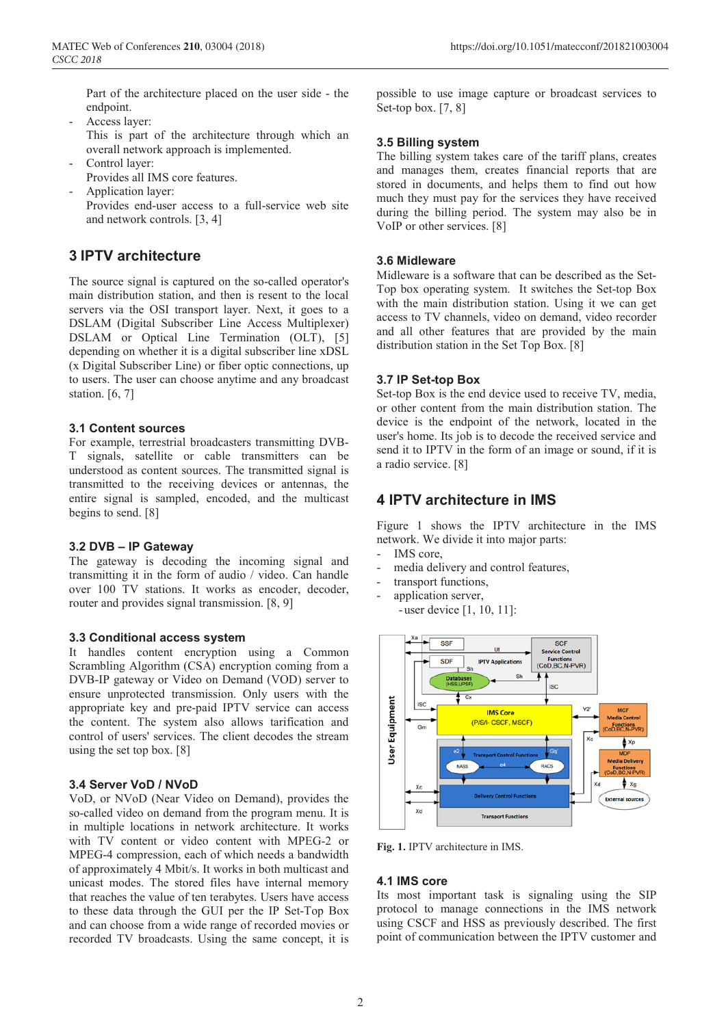Part of the architecture placed on the user side - the endpoint.

Access layer:

This is part of the architecture through which an overall network approach is implemented.

- Control layer:
- Provides all IMS core features.
- Application layer: Provides end-user access to a full-service web site and network controls. [3, 4]

# **3 IPTV architecture**

The source signal is captured on the so-called operator's main distribution station, and then is resent to the local servers via the OSI transport layer. Next, it goes to a DSLAM (Digital Subscriber Line Access Multiplexer) DSLAM or Optical Line Termination (OLT), [5] depending on whether it is a digital subscriber line xDSL (x Digital Subscriber Line) or fiber optic connections, up to users. The user can choose anytime and any broadcast station. [6, 7]

#### **3.1 Content sources**

For example, terrestrial broadcasters transmitting DVB-T signals, satellite or cable transmitters can be understood as content sources. The transmitted signal is transmitted to the receiving devices or antennas, the entire signal is sampled, encoded, and the multicast begins to send. [8]

#### **3.2 DVB – IP Gateway**

The gateway is decoding the incoming signal and transmitting it in the form of audio / video. Can handle over 100 TV stations. It works as encoder, decoder, router and provides signal transmission. [8, 9]

#### **3.3 Conditional access system**

It handles content encryption using a Common Scrambling Algorithm (CSA) encryption coming from a DVB-IP gateway or Video on Demand (VOD) server to ensure unprotected transmission. Only users with the appropriate key and pre-paid IPTV service can access the content. The system also allows tarification and control of users' services. The client decodes the stream using the set top box. [8]

#### **3.4 Server VoD / NVoD**

VoD, or NVoD (Near Video on Demand), provides the so-called video on demand from the program menu. It is in multiple locations in network architecture. It works with TV content or video content with MPEG-2 or MPEG-4 compression, each of which needs a bandwidth of approximately 4 Mbit/s. It works in both multicast and unicast modes. The stored files have internal memory that reaches the value of ten terabytes. Users have access to these data through the GUI per the IP Set-Top Box and can choose from a wide range of recorded movies or recorded TV broadcasts. Using the same concept, it is possible to use image capture or broadcast services to Set-top box. [7, 8]

#### **3.5 Billing system**

The billing system takes care of the tariff plans, creates and manages them, creates financial reports that are stored in documents, and helps them to find out how much they must pay for the services they have received during the billing period. The system may also be in VoIP or other services. [8]

#### **3.6 Midleware**

Midleware is a software that can be described as the Set-Top box operating system. It switches the Set-top Box with the main distribution station. Using it we can get access to TV channels, video on demand, video recorder and all other features that are provided by the main distribution station in the Set Top Box. [8]

#### **3.7 IP Set-top Box**

Set-top Box is the end device used to receive TV, media, or other content from the main distribution station. The device is the endpoint of the network, located in the user's home. Its job is to decode the received service and send it to IPTV in the form of an image or sound, if it is a radio service. [8]

### **4 IPTV architecture in IMS**

Figure 1 shows the IPTV architecture in the IMS network. We divide it into major parts:

- IMS core,
- media delivery and control features,
- transport functions.
- application server,
- user device [1, 10, 11]:



**Fig. 1.** IPTV architecture in IMS.

#### **4.1 IMS core**

Its most important task is signaling using the SIP protocol to manage connections in the IMS network using CSCF and HSS as previously described. The first point of communication between the IPTV customer and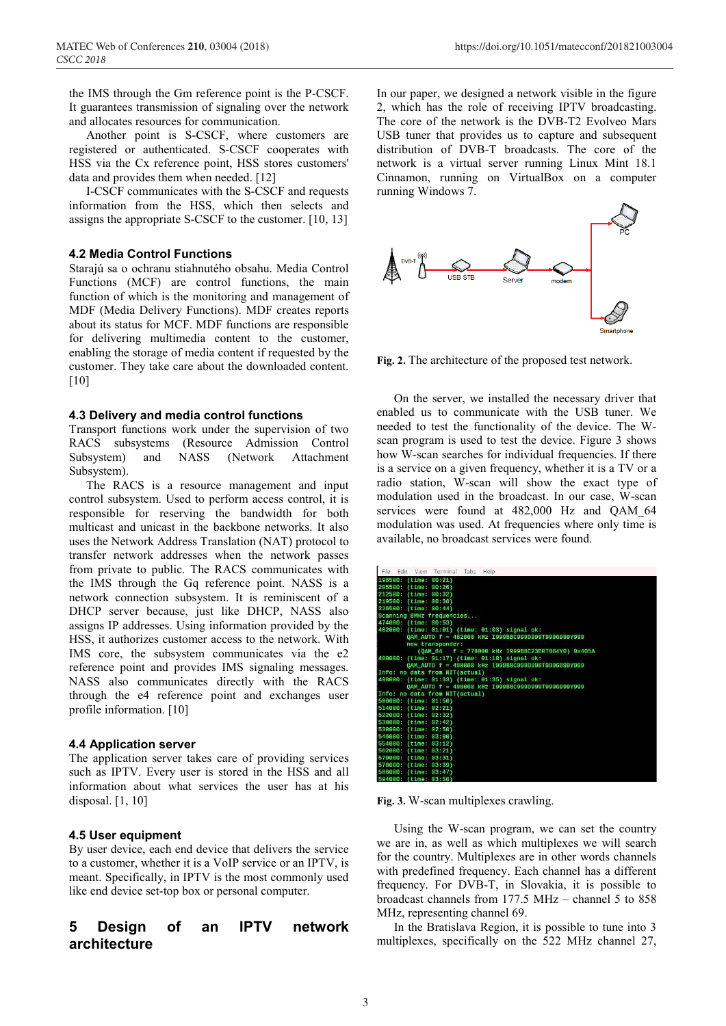the IMS through the Gm reference point is the P-CSCF. It guarantees transmission of signaling over the network and allocates resources for communication.

Another point is S-CSCF, where customers are registered or authenticated. S-CSCF cooperates with HSS via the Cx reference point, HSS stores customers' data and provides them when needed. [12]

I-CSCF communicates with the S-CSCF and requests information from the HSS, which then selects and assigns the appropriate S-CSCF to the customer. [10, 13]

#### **4.2 Media Control Functions**

Starajú sa o ochranu stiahnutého obsahu. Media Control Functions (MCF) are control functions, the main function of which is the monitoring and management of MDF (Media Delivery Functions). MDF creates reports about its status for MCF. MDF functions are responsible for delivering multimedia content to the customer, enabling the storage of media content if requested by the customer. They take care about the downloaded content. [10]

#### **4.3 Delivery and media control functions**

Transport functions work under the supervision of two RACS subsystems (Resource Admission Control Subsystem) and NASS (Network Attachment Subsystem).

The RACS is a resource management and input control subsystem. Used to perform access control, it is responsible for reserving the bandwidth for both multicast and unicast in the backbone networks. It also uses the Network Address Translation (NAT) protocol to transfer network addresses when the network passes from private to public. The RACS communicates with the IMS through the Gq reference point. NASS is a network connection subsystem. It is reminiscent of a DHCP server because, just like DHCP, NASS also assigns IP addresses. Using information provided by the HSS, it authorizes customer access to the network. With IMS core, the subsystem communicates via the e2 reference point and provides IMS signaling messages. NASS also communicates directly with the RACS through the e4 reference point and exchanges user profile information. [10]

#### **4.4 Application server**

The application server takes care of providing services such as IPTV. Every user is stored in the HSS and all information about what services the user has at his disposal. [1, 10]

#### **4.5 User equipment**

By user device, each end device that delivers the service to a customer, whether it is a VoIP service or an IPTV, is meant. Specifically, in IPTV is the most commonly used like end device set-top box or personal computer.

# **5 Design of an IPTV network architecture**

In our paper, we designed a network visible in the figure 2, which has the role of receiving IPTV broadcasting. The core of the network is the DVB-T2 Evolveo Mars USB tuner that provides us to capture and subsequent distribution of DVB-T broadcasts. The core of the network is a virtual server running Linux Mint 18.1 Cinnamon, running on VirtualBox on a computer running Windows 7.



**Fig. 2.** The architecture of the proposed test network.

On the server, we installed the necessary driver that enabled us to communicate with the USB tuner. We needed to test the functionality of the device. The Wscan program is used to test the device. Figure 3 shows how W-scan searches for individual frequencies. If there is a service on a given frequency, whether it is a TV or a radio station, W-scan will show the exact type of modulation used in the broadcast. In our case, W-scan services were found at 482,000 Hz and QAM\_64 modulation was used. At frequencies where only time is available, no broadcast services were found.

| File Edit View Terminal Tabs<br>Help               |
|----------------------------------------------------|
| 198500: (time: 00:21)                              |
| 205500: (time: 00:26)                              |
| 212500: (time: 00:32)                              |
| 219500: (time: 00:38)                              |
| 226500: (time: 00:44)                              |
| Scanning BMHz frequencies                          |
| 474000: (time: 00:53)                              |
| 482000: (time: 01:01) (time: 01:03) signal ok:     |
| OAM AUTO f = 482000 kHz I999B8C999D999T999G999Y999 |
| new transponder:                                   |
| (QAM_64 f = 778000 kHz I999B8C23D0T8G4Y0) 0x405A   |
| 490000: (time: 01:17) (time: 01:18) signal ok:     |
| QAM_AUTO f = 490000 kHz I999B8C999D999T999G999Y999 |
| Info: no data from NIT(actual)                     |
| 498000: (time: 01:33) (time: 01:35) signal ok:     |
| 0AM AUTO f = 498000 kHz I999B8C999D999T999G999Y999 |
| Info: no data from NIT(actual)                     |
| 506000: (time: 01:50)                              |
| 514000: (time: 02:21)                              |
| 522000: (time: 02:32)                              |
| 530000: (time: 02:42)                              |
| 538000: (time: 02:50)                              |
| 546000: (time: 03:00)                              |
| 554000: (time: 03:12)                              |
| 562000: (time: 03:21)                              |
| 570000: (time: 03:31)                              |
| 578000: (time: 03:39)                              |
| 586000: (time: 03:47)                              |

**Fig. 3.** W-scan multiplexes crawling.

Using the W-scan program, we can set the country we are in, as well as which multiplexes we will search for the country. Multiplexes are in other words channels with predefined frequency. Each channel has a different frequency. For DVB-T, in Slovakia, it is possible to broadcast channels from 177.5 MHz – channel 5 to 858 MHz, representing channel 69.

In the Bratislava Region, it is possible to tune into 3 multiplexes, specifically on the 522 MHz channel 27,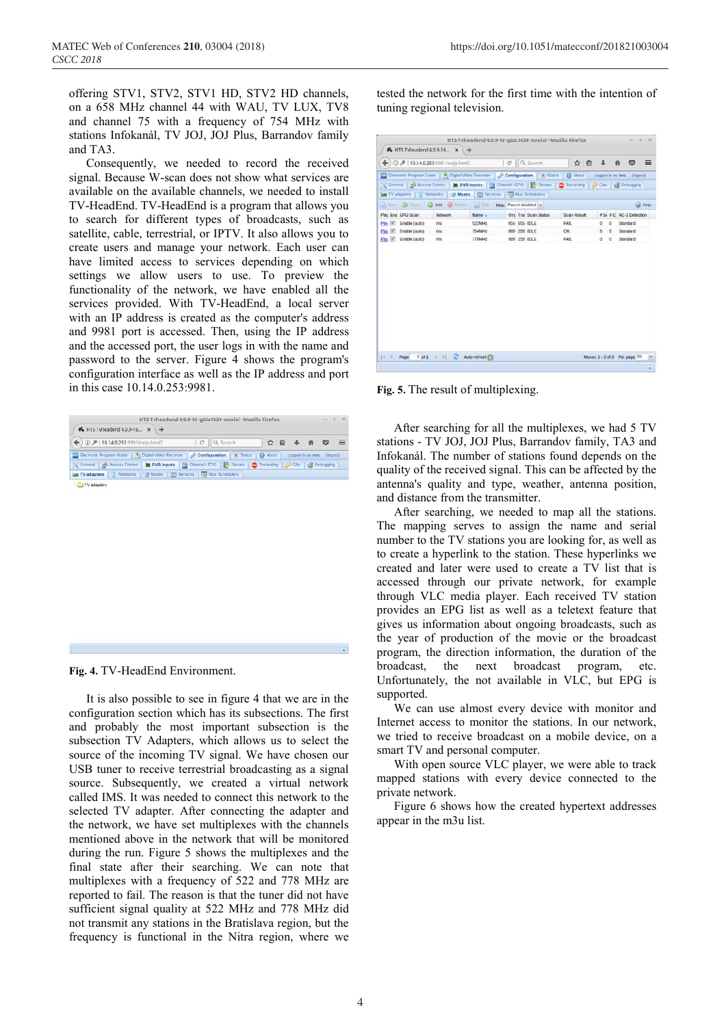offering STV1, STV2, STV1 HD, STV2 HD channels, on a 658 MHz channel 44 with WAU, TV LUX, TV8 and channel 75 with a frequency of 754 MHz with stations Infokanál, TV JOJ, JOJ Plus, Barrandov family and TA3.

Consequently, we needed to record the received signal. Because W-scan does not show what services are available on the available channels, we needed to install TV-HeadEnd. TV-HeadEnd is a program that allows you to search for different types of broadcasts, such as satellite, cable, terrestrial, or IPTV. It also allows you to create users and manage your network. Each user can have limited access to services depending on which settings we allow users to use. To preview the functionality of the network, we have enabled all the services provided. With TV-HeadEnd, a local server with an IP address is created as the computer's address and 9981 port is accessed. Then, using the IP address and the accessed port, the user logs in with the name and password to the server. Figure  $\overline{4}$  shows the program's configuration interface as well as the IP address and port in this case 10.14.0.253:9981.

| $\bigwedge$ HTS Tyheadend 4.0.9-16 $\bigvee$ +                                                                              |            |             |  |
|-----------------------------------------------------------------------------------------------------------------------------|------------|-------------|--|
| $\leftarrow$ 0 $P$ 10.14.0.253.9981/extjs.html?                                                                             | C Q Search | ☆ 自 ↓ 令 ▽ 三 |  |
| Ed Electronic Program Guide ( 4) Digital Video Recorder ( 3 Configuration ( 3 Status   4) About   Logged in as ims (loggut) |            |             |  |
| Coneral Access Entries 10 DVB Inputs 15 Channel / EPG   15 Stream   O Recording   2 CAs   GE Debugging                      |            |             |  |
| <b>Las TV adapters</b> A. Networks 29 Muxes <b>CO</b> Services <b>CO</b> Mux Schedulers                                     |            |             |  |

| Fig. 4. TV-HeadEnd Environment. |  |
|---------------------------------|--|
|---------------------------------|--|

It is also possible to see in figure 4 that we are in the configuration section which has its subsections. The first and probably the most important subsection is the subsection TV Adapters, which allows us to select the source of the incoming TV signal. We have chosen our USB tuner to receive terrestrial broadcasting as a signal source. Subsequently, we created a virtual network called IMS. It was needed to connect this network to the selected TV adapter. After connecting the adapter and the network, we have set multiplexes with the channels mentioned above in the network that will be monitored during the run. Figure 5 shows the multiplexes and the final state after their searching. We can note that multiplexes with a frequency of 522 and 778 MHz are reported to fail. The reason is that the tuner did not have sufficient signal quality at 522 MHz and 778 MHz did not transmit any stations in the Bratislava region, but the frequency is functional in the Nitra region, where we

tested the network for the first time with the intention of tuning regional television.

|                       |                               | $\leftarrow$ (i) $P$   10.14.0.253:9981/extjs.html?                                             |                                        | C Q Search   |                     | ☆ 白             |                   |   |                         | ᆖ              |
|-----------------------|-------------------------------|-------------------------------------------------------------------------------------------------|----------------------------------------|--------------|---------------------|-----------------|-------------------|---|-------------------------|----------------|
|                       |                               | Electronic Program Guide 4, Digital Video Recorder & Configuration                              |                                        |              | <b>Car Status</b>   | <b>43</b> About | Logged in as ims. |   | (logout)                |                |
|                       |                               | CAS Carenal Access Entres 100 DVB Inputs 20 Charnel / EPG 28 Steam 2 Recording CAs Ca Debugging |                                        |              |                     |                 |                   |   |                         |                |
|                       | We TV adapters   28. Networks | <b>CH Muxes</b>                                                                                 | [C] Services <b>[C]</b> Mux Schedulers |              |                     |                 |                   |   |                         |                |
|                       |                               | Co Save 20 Union 2 Add 2 Deline 2 Em Hide: Parent disabled y.                                   |                                        |              |                     |                 |                   |   |                         | <b>Ed Help</b> |
|                       | Play Ena EPG Scan             | Network                                                                                         | Name -                                 |              | One Tra Scan Status | Scan Result     |                   |   | # Si # C AC-3 Detection |                |
| <b>V</b><br>Play      | Enable (auto)                 | ims                                                                                             | 522MHz                                 | 655 655 IDLE |                     | FAIL            | o                 |   | Standard                |                |
| <b>D</b><br>Pin       | Enable (auto)                 | ims.                                                                                            | 754MHz                                 | 889 258 IDLE |                     | OK:             | 5                 | 5 | Standard                |                |
| $\mathcal{G}$<br>Play | Enable (auto)                 | ame.                                                                                            | 778MHz                                 | 889 258 IDLE |                     | FAIL            | o                 | o | Standard                |                |
|                       |                               |                                                                                                 |                                        |              |                     |                 |                   |   |                         |                |
|                       |                               |                                                                                                 |                                        |              |                     |                 |                   |   |                         |                |

**Fig. 5.** The result of multiplexing.

After searching for all the multiplexes, we had 5 TV stations - TV JOJ, JOJ Plus, Barrandov family, TA3 and Infokanál. The number of stations found depends on the quality of the received signal. This can be affected by the antenna's quality and type, weather, antenna position, and distance from the transmitter.

After searching, we needed to map all the stations. The mapping serves to assign the name and serial number to the TV stations you are looking for, as well as to create a hyperlink to the station. These hyperlinks we created and later were used to create a TV list that is accessed through our private network, for example through VLC media player. Each received TV station provides an EPG list as well as a teletext feature that gives us information about ongoing broadcasts, such as the year of production of the movie or the broadcast program, the direction information, the duration of the broadcast, the next broadcast program, etc. Unfortunately, the not available in VLC, but EPG is supported.

We can use almost every device with monitor and Internet access to monitor the stations. In our network, we tried to receive broadcast on a mobile device, on a smart TV and personal computer.

With open source VLC player, we were able to track mapped stations with every device connected to the private network.

Figure 6 shows how the created hypertext addresses appear in the m3u list.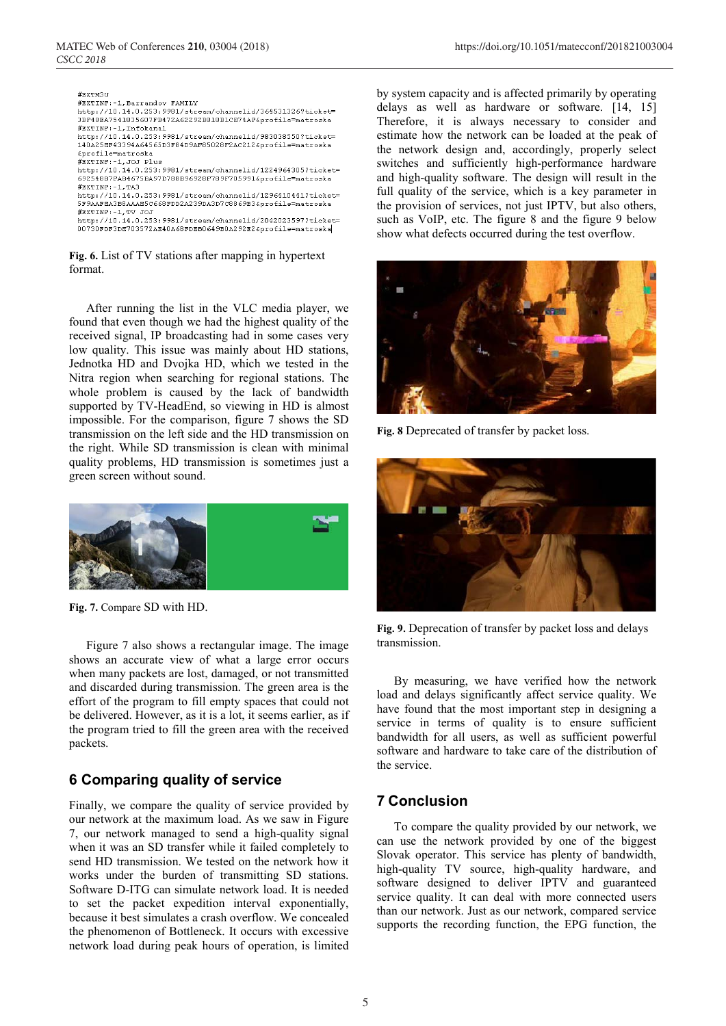| #EXTM3U                                                     |  |
|-------------------------------------------------------------|--|
| #EXTINF: -1. Barrandov FAMILY                               |  |
| http://10.14.0.253:9981/stream/channelid/364531326?ticket=  |  |
| 3BF48EA7541835607FB472A62292B818B1CE74AF&profile=matroska   |  |
| #EXTINF: -1. Infokanal                                      |  |
| http://10.14.0.253:9981/stream/channelid/983038550?ticket=  |  |
| 140A25EF43394A64565D3F84D9AF85028F2AC212&profile=matroska   |  |
| &profile=matroska                                           |  |
| #EXTINF: -1, JOJ Plus                                       |  |
| http://10.14.0.253:9981/stream/channelid/1224964305?ticket= |  |
| 692548B7FAB4675BA97D788B96928F789F705991&profile=matroska   |  |
| $\#$ EXTINF: $-1$ , TA3                                     |  |
| http://10.14.0.253:9981/stream/channelid/1296410441?ticket= |  |
| 5F9AAFEA3B8AAAE5C668FDD2A239DA3D7C8869B3&profile=matroska   |  |
| #EXTINF: -1, TV JOJ                                         |  |
| http://10.14.0.253:9981/stream/channelid/2042023597?ticket= |  |
| 00730FDF3DE703572AE40A68FDEB0649B0A292E2&profile=matroska   |  |

| Fig. 6. List of TV stations after mapping in hypertext |  |  |
|--------------------------------------------------------|--|--|
| format.                                                |  |  |

After running the list in the VLC media player, we found that even though we had the highest quality of the received signal, IP broadcasting had in some cases very low quality. This issue was mainly about HD stations, Jednotka HD and Dvojka HD, which we tested in the Nitra region when searching for regional stations. The whole problem is caused by the lack of bandwidth supported by TV-HeadEnd, so viewing in HD is almost impossible. For the comparison, figure 7 shows the SD transmission on the left side and the HD transmission on the right. While SD transmission is clean with minimal quality problems, HD transmission is sometimes just a green screen without sound.



**Fig. 7.** Compare SD with HD.

Figure 7 also shows a rectangular image. The image shows an accurate view of what a large error occurs when many packets are lost, damaged, or not transmitted and discarded during transmission. The green area is the effort of the program to fill empty spaces that could not be delivered. However, as it is a lot, it seems earlier, as if the program tried to fill the green area with the received packets.

# **6 Comparing quality of service**

Finally, we compare the quality of service provided by our network at the maximum load. As we saw in Figure 7, our network managed to send a high-quality signal when it was an SD transfer while it failed completely to send HD transmission. We tested on the network how it works under the burden of transmitting SD stations. Software D-ITG can simulate network load. It is needed to set the packet expedition interval exponentially, because it best simulates a crash overflow. We concealed the phenomenon of Bottleneck. It occurs with excessive network load during peak hours of operation, is limited

by system capacity and is affected primarily by operating delays as well as hardware or software. [14, 15] Therefore, it is always necessary to consider and estimate how the network can be loaded at the peak of the network design and, accordingly, properly select switches and sufficiently high-performance hardware and high-quality software. The design will result in the full quality of the service, which is a key parameter in the provision of services, not just IPTV, but also others, such as VoIP, etc. The figure 8 and the figure 9 below show what defects occurred during the test overflow.



**Fig. 8** Deprecated of transfer by packet loss.



**Fig. 9.** Deprecation of transfer by packet loss and delays transmission.

By measuring, we have verified how the network load and delays significantly affect service quality. We have found that the most important step in designing a service in terms of quality is to ensure sufficient bandwidth for all users, as well as sufficient powerful software and hardware to take care of the distribution of the service.

# **7 Conclusion**

To compare the quality provided by our network, we can use the network provided by one of the biggest Slovak operator. This service has plenty of bandwidth, high-quality TV source, high-quality hardware, and software designed to deliver IPTV and guaranteed service quality. It can deal with more connected users than our network. Just as our network, compared service supports the recording function, the EPG function, the